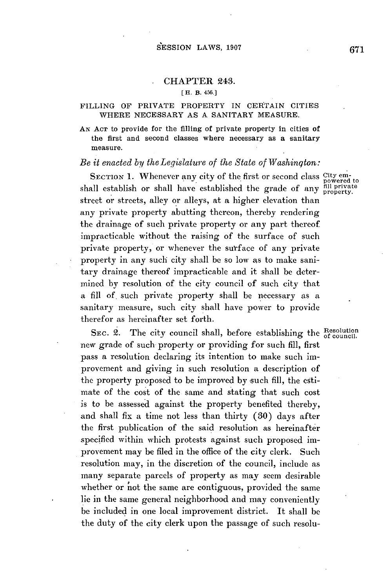### **CHAPTER** *243.*

## **[H. B. 456.]**

## **FILLING** OF PRIVATE PROPERTY IN CERTAIN CITIES WHERE **NECESSARY AS A** SANITARY **MEASURE.**

**AN ACT** to provide for the filling of private property in cities of the first and second classes where necessary as a sanitary measure.

## *Be it enacted by the Legislature of the State of Washinqton:*

SECTION 1. Whenever any city of the first or second class City emshall establish or shall have established the grade of any  $\frac{\text{fill print}}{\text{proper}}$ street or streets, alley or alleys, at a higher elevation than any private property abutting thereon, thereby rendering the drainage of such private property or any part thereof impracticable without the raising of the surface of such private property, or whenever the surface of any private property in any such city shall be so low as to make sanitary drainage thereof impracticable and it shall be determined **by** resolution of the city council of such city that a **fill** of. such private property shall **be** necessary as a sanitary measure, such city shall have power to provide therefor as hereinafter set forth.

SEC. 2. The city council shall, before establishing the Resolution new grade of such property or providing for such **fill,** first pass a resolution declaring its intention to make such improvement and giving in such resolution a description of the property proposed to be improved **by** such **fill,** the estimate of the cost of the same and stating that such cost is to be assessed against the property benefited thereby, and shall fix a time not less than thirty **(30)** days after the first publication of the said resolution as hereinafter specified within which protests against such proposed improvement may be filed in the office of the city clerk. Such resolution may, in the discretion of the council, include as many separate parcels of property as may seem desirable whether or not the same are contiguous, provided the same lie in the same general neighborhood and may conveniently be included in one local improvement district. It shall **be** the duty of the city clerk upon the passage of such resolu-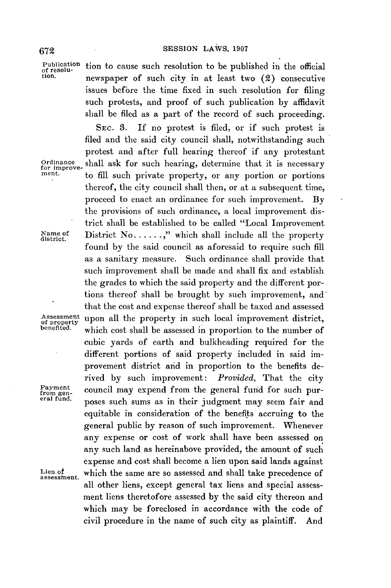Publication tion to cause such resolution to be published in the official tion. newspaper of such city in at least two (2) consecutive issues before the time fixed in such resolution for filing such protests, and proof of such publication **by** affidavit shall be **filed** as a part of the record of such proceeding.

**SEc. 3. If** no protest is filed, or if such protest is filed and the said city council shall, notwithstanding such protest and after full hearing thereof if any protestant Ordinance shall ask for such hearing, determine that it is necessary for improve- ment. to **fill** such private property, or any portion or portions thereof, the city council shall then, or at a subsequent time, proceed to enact an ordinance for such improvement. **By** the provisions of such ordinance, a local improvement **dis**trict shall be established to be called "Local Improvement Name of District No......," which shall include all the property found **by** the said council as aforesaid to require such **fill** as a sanitary measure. Such ordinance shall provide that such improvement shall be made and shall fix and establish the grades to which the said property and the different portions thereof shall be brought **by** such improvement, and\* that the cost and expense thereof shall be taxed and assessed Assessment upon all the property in such local improvement district, benefited. which cost shall be assessed in proportion to the number of cubic yards of earth and bulkheading required for the different portions of said property included in said improvement district arid in proportion to the benefits derived **by** such improvement: *Provided,* That the city Fayment council may expend from the general fund for such pur-<br>
eral fund. poses such sums as in their judgment may seem fair and equitable in consideration of the benefits accruing to the general public **by** reason of such improvement. Whenever any expense or cost of work shall have been assessed on any such land as hereinabove provided, the amount of such expense and cost shall become a lien upon said lands against Lien of which the same are so assessed and shall take precedence of all other liens, except general tax liens and special assessment liens theretofore assessed **by** the said city thereon and which may be foreclosed in accordance with the code of civil procedure in the name of such city as plaintiff. And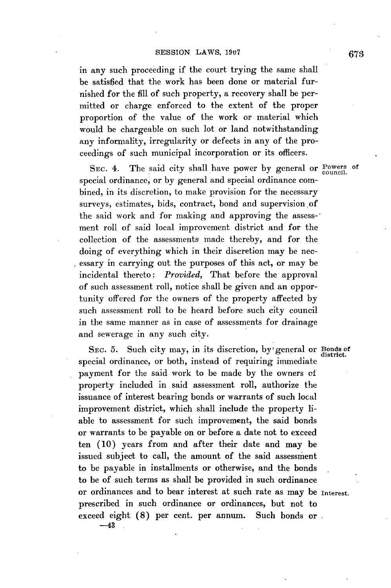in any such proceeding if the court trying the same shall be satisfied that the work has been done or material furnished for the **fill** of such property, a recovery shall be permitted or charge enforced to the extent of the proper proportion of the value of the work or material which would be chargeable on such lot or land notwithstanding any informality, irregularity or defects in any of the proceedings of such municipal incorporation or its officers.

SEC. 4. The said city shall have power by general or Powers of special ordinance, or **by** general and special ordinance combined, in its discretion, to make provision for the necessary surveys, estimates, bids, contract, bond and supervision of the said work and for making and approving the assess-' ment roll of said local improvement district and for the collection of the assessments made thereby, and for the doing of everything which in their discretion may be necessary in carrying out the purposes of this act, or may be incidental thereto: *Provided,* That before the approval of such assessment roll, notice shall be given and an opportunity offered for the owners of the property affected **by** such assessment roll to be heard before such city council in the same manner as in case of assessments for drainage and sewerage in any such city.

SEC. 5. Such city may, in its discretion, by general or Bonds of district. special ordinance, or both, instead of requiring immediate payment for the said work to be made **by** the owners **of** property included in said assessment roll, authorize the issuance of interest bearing bonds or warrants of such local improvement district, which shall include the property liable to assessment for such improvement, the said bonds or warrants to be payable on or before a date not to exceed ten **(10)** years from and after their date and may be issued subject to call, the amount of the said assessment to be payable in installments or otherwise, and the bonds to **be** of such terms as shall be provided in such ordinance or ordinances and to bear interest at such rate as may be Interest. prescribed in such ordinance or ordinances, but not to exceed eight **(8)** per cent. per annum. Such bonds or -43